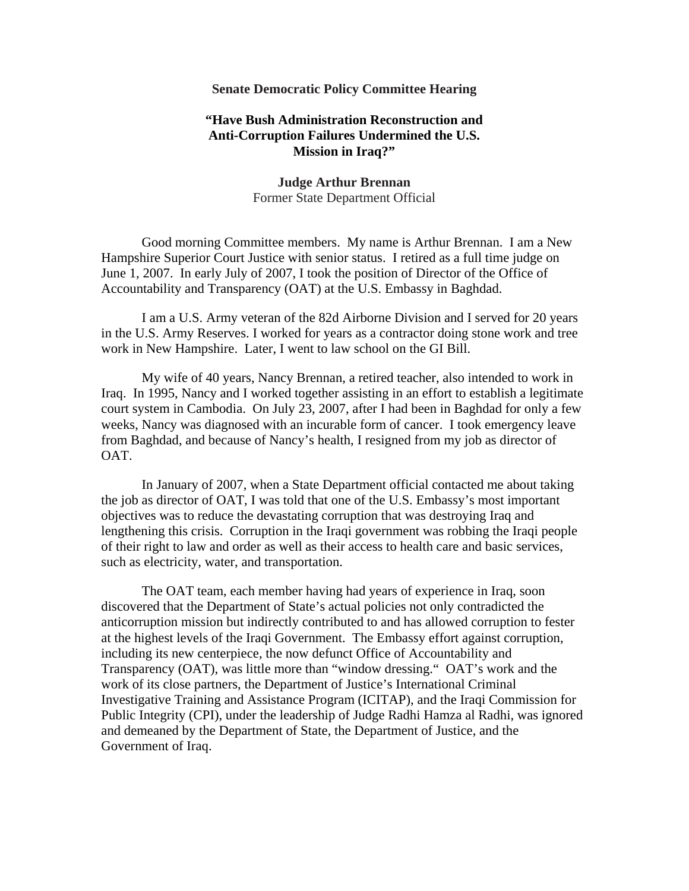## **Senate Democratic Policy Committee Hearing**

## **"Have Bush Administration Reconstruction and Anti-Corruption Failures Undermined the U.S. Mission in Iraq?"**

**Judge Arthur Brennan**  Former State Department Official

 Good morning Committee members. My name is Arthur Brennan. I am a New Hampshire Superior Court Justice with senior status. I retired as a full time judge on June 1, 2007. In early July of 2007, I took the position of Director of the Office of Accountability and Transparency (OAT) at the U.S. Embassy in Baghdad.

 I am a U.S. Army veteran of the 82d Airborne Division and I served for 20 years in the U.S. Army Reserves. I worked for years as a contractor doing stone work and tree work in New Hampshire. Later, I went to law school on the GI Bill.

 My wife of 40 years, Nancy Brennan, a retired teacher, also intended to work in Iraq. In 1995, Nancy and I worked together assisting in an effort to establish a legitimate court system in Cambodia. On July 23, 2007, after I had been in Baghdad for only a few weeks, Nancy was diagnosed with an incurable form of cancer. I took emergency leave from Baghdad, and because of Nancy's health, I resigned from my job as director of OAT.

 In January of 2007, when a State Department official contacted me about taking the job as director of OAT, I was told that one of the U.S. Embassy's most important objectives was to reduce the devastating corruption that was destroying Iraq and lengthening this crisis. Corruption in the Iraqi government was robbing the Iraqi people of their right to law and order as well as their access to health care and basic services, such as electricity, water, and transportation.

 The OAT team, each member having had years of experience in Iraq, soon discovered that the Department of State's actual policies not only contradicted the anticorruption mission but indirectly contributed to and has allowed corruption to fester at the highest levels of the Iraqi Government. The Embassy effort against corruption, including its new centerpiece, the now defunct Office of Accountability and Transparency (OAT), was little more than "window dressing." OAT's work and the work of its close partners, the Department of Justice's International Criminal Investigative Training and Assistance Program (ICITAP), and the Iraqi Commission for Public Integrity (CPI), under the leadership of Judge Radhi Hamza al Radhi, was ignored and demeaned by the Department of State, the Department of Justice, and the Government of Iraq.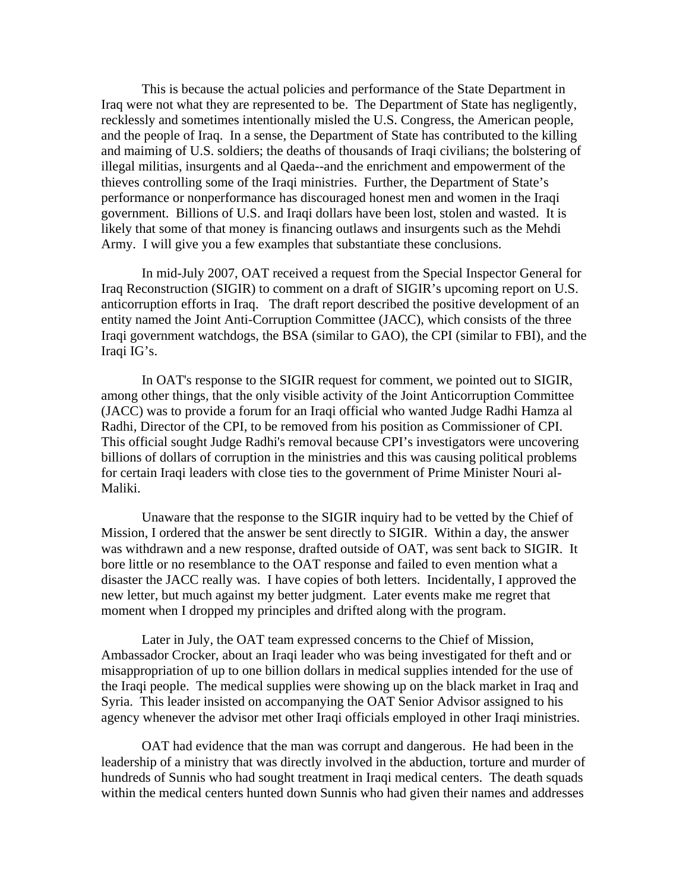This is because the actual policies and performance of the State Department in Iraq were not what they are represented to be. The Department of State has negligently, recklessly and sometimes intentionally misled the U.S. Congress, the American people, and the people of Iraq. In a sense, the Department of State has contributed to the killing and maiming of U.S. soldiers; the deaths of thousands of Iraqi civilians; the bolstering of illegal militias, insurgents and al Qaeda--and the enrichment and empowerment of the thieves controlling some of the Iraqi ministries. Further, the Department of State's performance or nonperformance has discouraged honest men and women in the Iraqi government. Billions of U.S. and Iraqi dollars have been lost, stolen and wasted. It is likely that some of that money is financing outlaws and insurgents such as the Mehdi Army. I will give you a few examples that substantiate these conclusions.

 In mid-July 2007, OAT received a request from the Special Inspector General for Iraq Reconstruction (SIGIR) to comment on a draft of SIGIR's upcoming report on U.S. anticorruption efforts in Iraq. The draft report described the positive development of an entity named the Joint Anti-Corruption Committee (JACC), which consists of the three Iraqi government watchdogs, the BSA (similar to GAO), the CPI (similar to FBI), and the Iraqi IG's.

 In OAT's response to the SIGIR request for comment, we pointed out to SIGIR, among other things, that the only visible activity of the Joint Anticorruption Committee (JACC) was to provide a forum for an Iraqi official who wanted Judge Radhi Hamza al Radhi, Director of the CPI, to be removed from his position as Commissioner of CPI. This official sought Judge Radhi's removal because CPI's investigators were uncovering billions of dollars of corruption in the ministries and this was causing political problems for certain Iraqi leaders with close ties to the government of Prime Minister Nouri al-Maliki.

 Unaware that the response to the SIGIR inquiry had to be vetted by the Chief of Mission, I ordered that the answer be sent directly to SIGIR. Within a day, the answer was withdrawn and a new response, drafted outside of OAT, was sent back to SIGIR. It bore little or no resemblance to the OAT response and failed to even mention what a disaster the JACC really was. I have copies of both letters. Incidentally, I approved the new letter, but much against my better judgment. Later events make me regret that moment when I dropped my principles and drifted along with the program.

 Later in July, the OAT team expressed concerns to the Chief of Mission, Ambassador Crocker, about an Iraqi leader who was being investigated for theft and or misappropriation of up to one billion dollars in medical supplies intended for the use of the Iraqi people. The medical supplies were showing up on the black market in Iraq and Syria. This leader insisted on accompanying the OAT Senior Advisor assigned to his agency whenever the advisor met other Iraqi officials employed in other Iraqi ministries.

 OAT had evidence that the man was corrupt and dangerous. He had been in the leadership of a ministry that was directly involved in the abduction, torture and murder of hundreds of Sunnis who had sought treatment in Iraqi medical centers. The death squads within the medical centers hunted down Sunnis who had given their names and addresses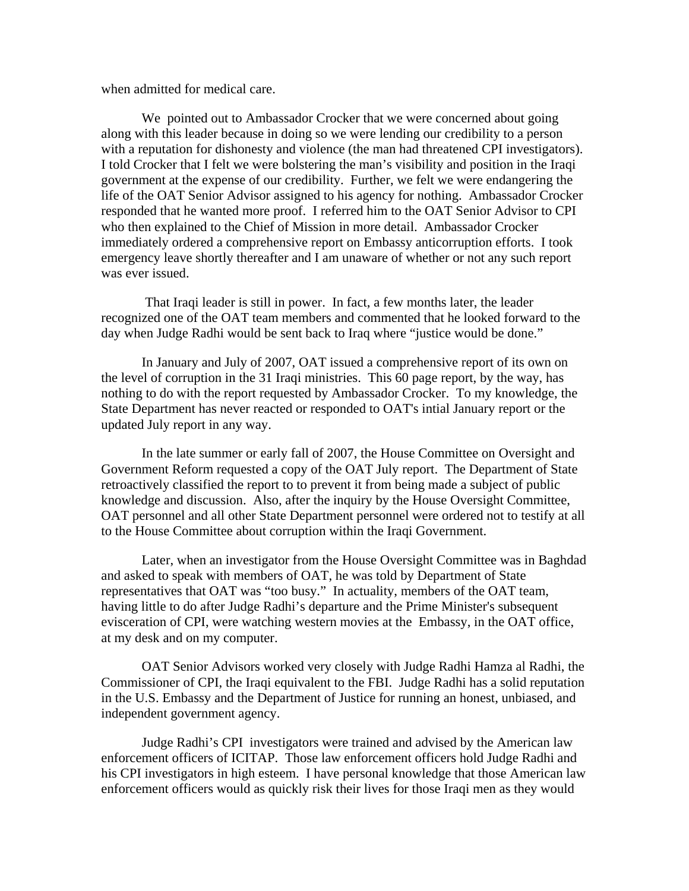when admitted for medical care.

 We pointed out to Ambassador Crocker that we were concerned about going along with this leader because in doing so we were lending our credibility to a person with a reputation for dishonesty and violence (the man had threatened CPI investigators). I told Crocker that I felt we were bolstering the man's visibility and position in the Iraqi government at the expense of our credibility. Further, we felt we were endangering the life of the OAT Senior Advisor assigned to his agency for nothing. Ambassador Crocker responded that he wanted more proof. I referred him to the OAT Senior Advisor to CPI who then explained to the Chief of Mission in more detail. Ambassador Crocker immediately ordered a comprehensive report on Embassy anticorruption efforts. I took emergency leave shortly thereafter and I am unaware of whether or not any such report was ever issued.

 That Iraqi leader is still in power. In fact, a few months later, the leader recognized one of the OAT team members and commented that he looked forward to the day when Judge Radhi would be sent back to Iraq where "justice would be done."

 In January and July of 2007, OAT issued a comprehensive report of its own on the level of corruption in the 31 Iraqi ministries. This 60 page report, by the way, has nothing to do with the report requested by Ambassador Crocker. To my knowledge, the State Department has never reacted or responded to OAT's intial January report or the updated July report in any way.

 In the late summer or early fall of 2007, the House Committee on Oversight and Government Reform requested a copy of the OAT July report. The Department of State retroactively classified the report to to prevent it from being made a subject of public knowledge and discussion. Also, after the inquiry by the House Oversight Committee, OAT personnel and all other State Department personnel were ordered not to testify at all to the House Committee about corruption within the Iraqi Government.

 Later, when an investigator from the House Oversight Committee was in Baghdad and asked to speak with members of OAT, he was told by Department of State representatives that OAT was "too busy." In actuality, members of the OAT team, having little to do after Judge Radhi's departure and the Prime Minister's subsequent evisceration of CPI, were watching western movies at the Embassy, in the OAT office, at my desk and on my computer.

 OAT Senior Advisors worked very closely with Judge Radhi Hamza al Radhi, the Commissioner of CPI, the Iraqi equivalent to the FBI. Judge Radhi has a solid reputation in the U.S. Embassy and the Department of Justice for running an honest, unbiased, and independent government agency.

 Judge Radhi's CPI investigators were trained and advised by the American law enforcement officers of ICITAP. Those law enforcement officers hold Judge Radhi and his CPI investigators in high esteem. I have personal knowledge that those American law enforcement officers would as quickly risk their lives for those Iraqi men as they would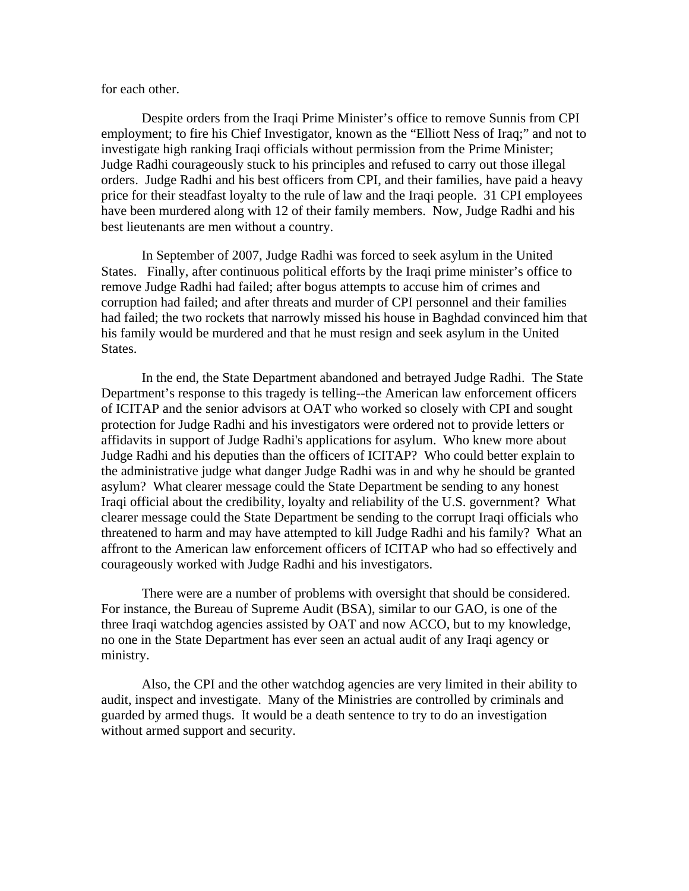## for each other.

 Despite orders from the Iraqi Prime Minister's office to remove Sunnis from CPI employment; to fire his Chief Investigator, known as the "Elliott Ness of Iraq;" and not to investigate high ranking Iraqi officials without permission from the Prime Minister; Judge Radhi courageously stuck to his principles and refused to carry out those illegal orders. Judge Radhi and his best officers from CPI, and their families, have paid a heavy price for their steadfast loyalty to the rule of law and the Iraqi people. 31 CPI employees have been murdered along with 12 of their family members. Now, Judge Radhi and his best lieutenants are men without a country.

 In September of 2007, Judge Radhi was forced to seek asylum in the United States. Finally, after continuous political efforts by the Iraqi prime minister's office to remove Judge Radhi had failed; after bogus attempts to accuse him of crimes and corruption had failed; and after threats and murder of CPI personnel and their families had failed; the two rockets that narrowly missed his house in Baghdad convinced him that his family would be murdered and that he must resign and seek asylum in the United States.

 In the end, the State Department abandoned and betrayed Judge Radhi. The State Department's response to this tragedy is telling--the American law enforcement officers of ICITAP and the senior advisors at OAT who worked so closely with CPI and sought protection for Judge Radhi and his investigators were ordered not to provide letters or affidavits in support of Judge Radhi's applications for asylum. Who knew more about Judge Radhi and his deputies than the officers of ICITAP? Who could better explain to the administrative judge what danger Judge Radhi was in and why he should be granted asylum? What clearer message could the State Department be sending to any honest Iraqi official about the credibility, loyalty and reliability of the U.S. government? What clearer message could the State Department be sending to the corrupt Iraqi officials who threatened to harm and may have attempted to kill Judge Radhi and his family? What an affront to the American law enforcement officers of ICITAP who had so effectively and courageously worked with Judge Radhi and his investigators.

 There were are a number of problems with oversight that should be considered. For instance, the Bureau of Supreme Audit (BSA), similar to our GAO, is one of the three Iraqi watchdog agencies assisted by OAT and now ACCO, but to my knowledge, no one in the State Department has ever seen an actual audit of any Iraqi agency or ministry.

 Also, the CPI and the other watchdog agencies are very limited in their ability to audit, inspect and investigate. Many of the Ministries are controlled by criminals and guarded by armed thugs. It would be a death sentence to try to do an investigation without armed support and security.